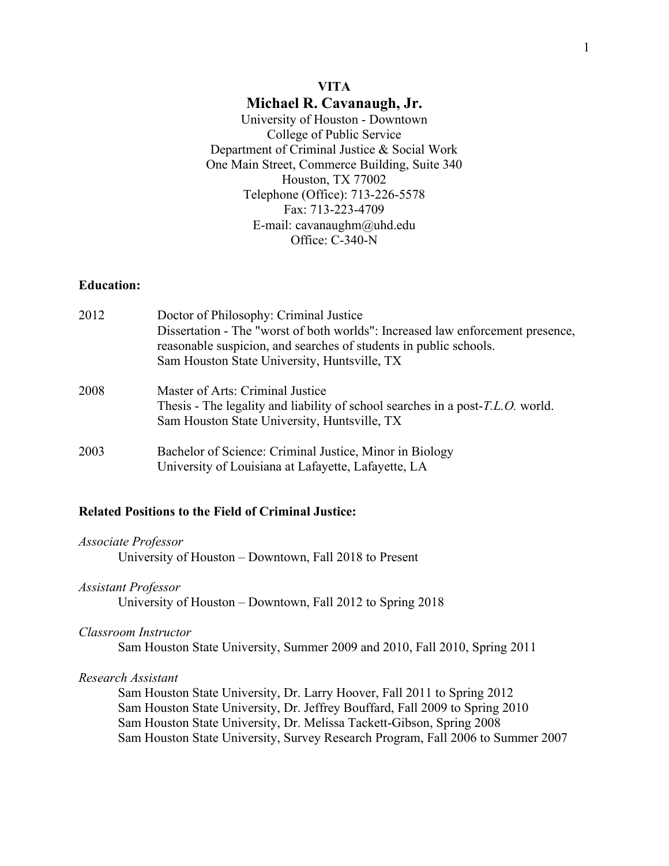# **VITA Michael R. Cavanaugh, Jr.**

University of Houston - Downtown College of Public Service Department of Criminal Justice & Social Work One Main Street, Commerce Building, Suite 340 Houston, TX 77002 Telephone (Office): 713-226-5578 Fax: 713-223-4709 E-mail: cavanaughm@uhd.edu Office: C-340-N

# **Education:**

| 2012 | Doctor of Philosophy: Criminal Justice<br>Dissertation - The "worst of both worlds": Increased law enforcement presence,<br>reasonable suspicion, and searches of students in public schools.<br>Sam Houston State University, Huntsville, TX |
|------|-----------------------------------------------------------------------------------------------------------------------------------------------------------------------------------------------------------------------------------------------|
| 2008 | Master of Arts: Criminal Justice<br>Thesis - The legality and liability of school searches in a post- <i>T.L.O.</i> world.<br>Sam Houston State University, Huntsville, TX                                                                    |
| 2003 | Bachelor of Science: Criminal Justice, Minor in Biology<br>University of Louisiana at Lafayette, Lafayette, LA                                                                                                                                |

# **Related Positions to the Field of Criminal Justice:**

*Associate Professor*

University of Houston – Downtown, Fall 2018 to Present

#### *Assistant Professor*

University of Houston – Downtown, Fall 2012 to Spring 2018

## *Classroom Instructor*

Sam Houston State University, Summer 2009 and 2010, Fall 2010, Spring 2011

## *Research Assistant*

Sam Houston State University, Dr. Larry Hoover, Fall 2011 to Spring 2012 Sam Houston State University, Dr. Jeffrey Bouffard, Fall 2009 to Spring 2010 Sam Houston State University, Dr. Melissa Tackett-Gibson, Spring 2008 Sam Houston State University, Survey Research Program, Fall 2006 to Summer 2007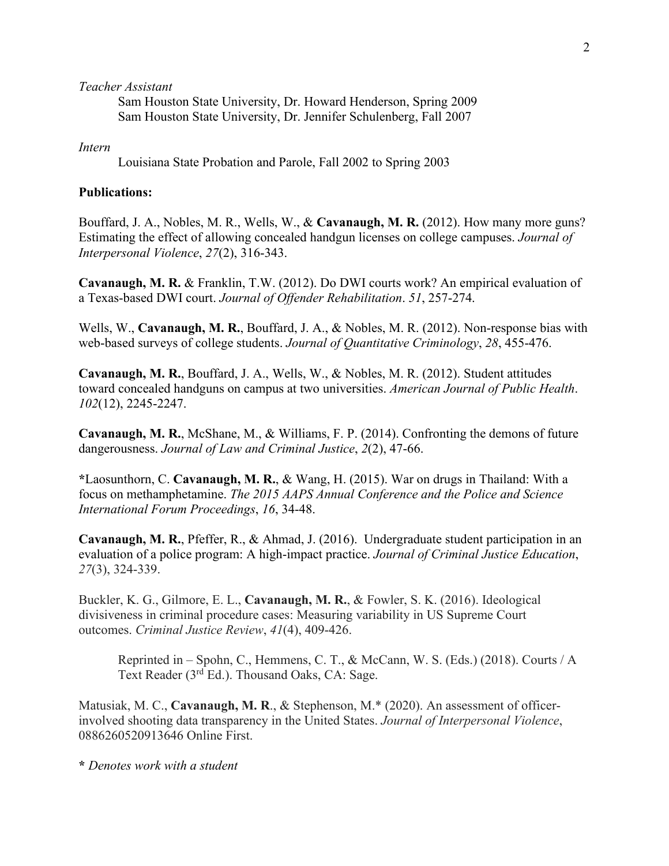*Teacher Assistant*

Sam Houston State University, Dr. Howard Henderson, Spring 2009 Sam Houston State University, Dr. Jennifer Schulenberg, Fall 2007

*Intern*

Louisiana State Probation and Parole, Fall 2002 to Spring 2003

# **Publications:**

Bouffard, J. A., Nobles, M. R., Wells, W., & **Cavanaugh, M. R.** (2012). How many more guns? Estimating the effect of allowing concealed handgun licenses on college campuses. *Journal of Interpersonal Violence*, *27*(2), 316-343.

**Cavanaugh, M. R.** & Franklin, T.W. (2012). Do DWI courts work? An empirical evaluation of a Texas-based DWI court. *Journal of Offender Rehabilitation*. *51*, 257-274.

Wells, W., **Cavanaugh, M. R.**, Bouffard, J. A., & Nobles, M. R. (2012). Non-response bias with web-based surveys of college students. *Journal of Quantitative Criminology*, *28*, 455-476.

**Cavanaugh, M. R.**, Bouffard, J. A., Wells, W., & Nobles, M. R. (2012). Student attitudes toward concealed handguns on campus at two universities. *American Journal of Public Health*. *102*(12), 2245-2247.

**Cavanaugh, M. R.**, McShane, M., & Williams, F. P. (2014). Confronting the demons of future dangerousness. *Journal of Law and Criminal Justice*, *2*(2), 47-66.

**\***Laosunthorn, C. **Cavanaugh, M. R.**, & Wang, H. (2015). War on drugs in Thailand: With a focus on methamphetamine. *The 2015 AAPS Annual Conference and the Police and Science International Forum Proceedings*, *16*, 34-48.

**Cavanaugh, M. R.**, Pfeffer, R., & Ahmad, J. (2016). Undergraduate student participation in an evaluation of a police program: A high-impact practice. *Journal of Criminal Justice Education*, *27*(3), 324-339.

Buckler, K. G., Gilmore, E. L., **Cavanaugh, M. R.**, & Fowler, S. K. (2016). Ideological divisiveness in criminal procedure cases: Measuring variability in US Supreme Court outcomes. *Criminal Justice Review*, *41*(4), 409-426.

Reprinted in – Spohn, C., Hemmens, C. T., & McCann, W. S. (Eds.) (2018). Courts / A Text Reader (3<sup>rd</sup> Ed.). Thousand Oaks, CA: Sage.

Matusiak, M. C., **Cavanaugh, M. R**., & Stephenson, M.\* (2020). An assessment of officerinvolved shooting data transparency in the United States. *Journal of Interpersonal Violence*, 0886260520913646 Online First.

**\*** *Denotes work with a student*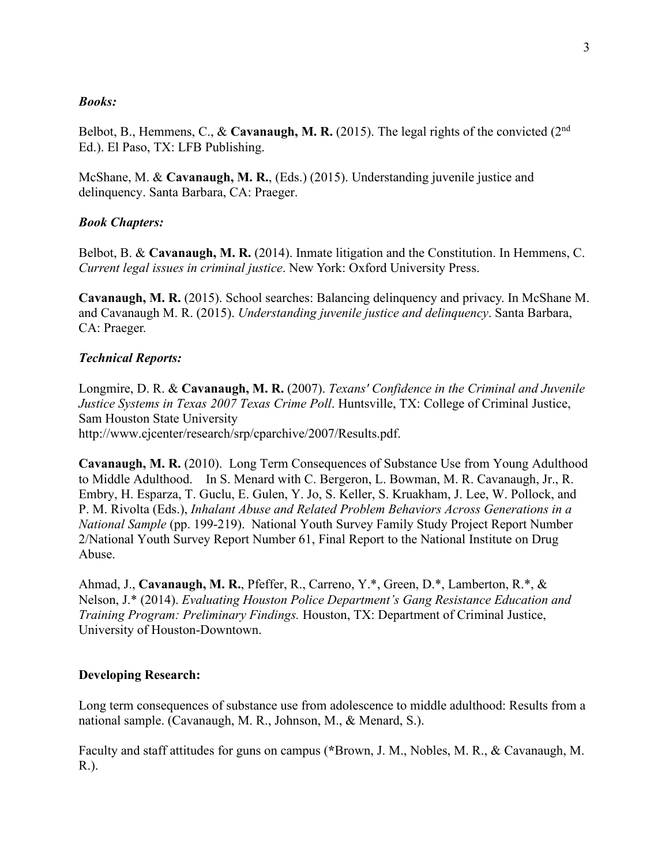## *Books:*

Belbot, B., Hemmens, C., & **Cavanaugh, M. R.** (2015). The legal rights of the convicted (2nd Ed.). El Paso, TX: LFB Publishing.

McShane, M. & **Cavanaugh, M. R.**, (Eds.) (2015). Understanding juvenile justice and delinquency. Santa Barbara, CA: Praeger.

# *Book Chapters:*

Belbot, B. & **Cavanaugh, M. R.** (2014). Inmate litigation and the Constitution. In Hemmens, C. *Current legal issues in criminal justice*. New York: Oxford University Press.

**Cavanaugh, M. R.** (2015). School searches: Balancing delinquency and privacy. In McShane M. and Cavanaugh M. R. (2015). *Understanding juvenile justice and delinquency*. Santa Barbara, CA: Praeger.

## *Technical Reports:*

Longmire, D. R. & **Cavanaugh, M. R.** (2007). *Texans' Confidence in the Criminal and Juvenile Justice Systems in Texas 2007 Texas Crime Poll*. Huntsville, TX: College of Criminal Justice, Sam Houston State University http://www.cjcenter/research/srp/cparchive/2007/Results.pdf.

**Cavanaugh, M. R.** (2010). Long Term Consequences of Substance Use from Young Adulthood to Middle Adulthood. In S. Menard with C. Bergeron, L. Bowman, M. R. Cavanaugh, Jr., R. Embry, H. Esparza, T. Guclu, E. Gulen, Y. Jo, S. Keller, S. Kruakham, J. Lee, W. Pollock, and P. M. Rivolta (Eds.), *Inhalant Abuse and Related Problem Behaviors Across Generations in a National Sample* (pp. 199-219). National Youth Survey Family Study Project Report Number 2/National Youth Survey Report Number 61, Final Report to the National Institute on Drug Abuse.

Ahmad, J., **Cavanaugh, M. R.**, Pfeffer, R., Carreno, Y.\*, Green, D.\*, Lamberton, R.\*, & Nelson, J.\* (2014). *Evaluating Houston Police Department's Gang Resistance Education and Training Program: Preliminary Findings.* Houston, TX: Department of Criminal Justice, University of Houston-Downtown.

## **Developing Research:**

Long term consequences of substance use from adolescence to middle adulthood: Results from a national sample. (Cavanaugh, M. R., Johnson, M., & Menard, S.).

Faculty and staff attitudes for guns on campus (**\***Brown, J. M., Nobles, M. R., & Cavanaugh, M. R.).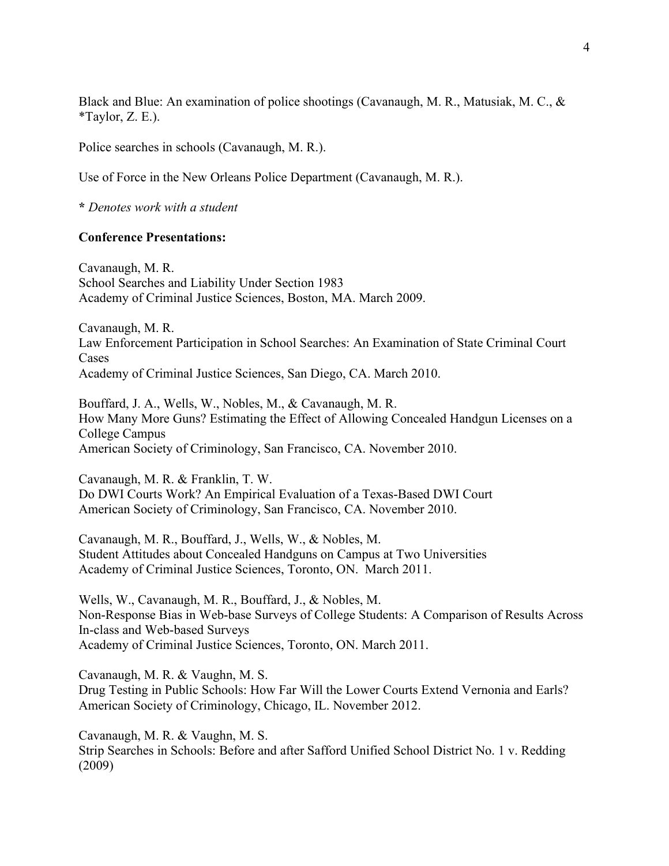Black and Blue: An examination of police shootings (Cavanaugh, M. R., Matusiak, M. C., & \*Taylor, Z. E.).

Police searches in schools (Cavanaugh, M. R.).

Use of Force in the New Orleans Police Department (Cavanaugh, M. R.).

**\*** *Denotes work with a student*

## **Conference Presentations:**

Cavanaugh, M. R. School Searches and Liability Under Section 1983 Academy of Criminal Justice Sciences, Boston, MA. March 2009.

Cavanaugh, M. R. Law Enforcement Participation in School Searches: An Examination of State Criminal Court Cases Academy of Criminal Justice Sciences, San Diego, CA. March 2010.

Bouffard, J. A., Wells, W., Nobles, M., & Cavanaugh, M. R. How Many More Guns? Estimating the Effect of Allowing Concealed Handgun Licenses on a College Campus American Society of Criminology, San Francisco, CA. November 2010.

Cavanaugh, M. R. & Franklin, T. W. Do DWI Courts Work? An Empirical Evaluation of a Texas-Based DWI Court American Society of Criminology, San Francisco, CA. November 2010.

Cavanaugh, M. R., Bouffard, J., Wells, W., & Nobles, M. Student Attitudes about Concealed Handguns on Campus at Two Universities Academy of Criminal Justice Sciences, Toronto, ON. March 2011.

Wells, W., Cavanaugh, M. R., Bouffard, J., & Nobles, M. Non-Response Bias in Web-base Surveys of College Students: A Comparison of Results Across In-class and Web-based Surveys Academy of Criminal Justice Sciences, Toronto, ON. March 2011.

Cavanaugh, M. R. & Vaughn, M. S.

Drug Testing in Public Schools: How Far Will the Lower Courts Extend Vernonia and Earls? American Society of Criminology, Chicago, IL. November 2012.

Cavanaugh, M. R. & Vaughn, M. S. Strip Searches in Schools: Before and after Safford Unified School District No. 1 v. Redding (2009)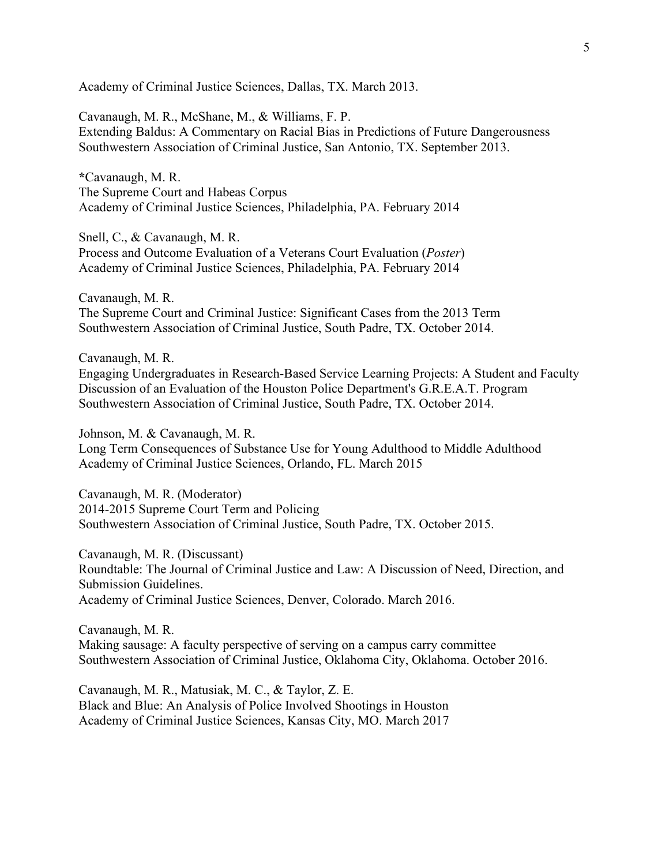Academy of Criminal Justice Sciences, Dallas, TX. March 2013.

Cavanaugh, M. R., McShane, M., & Williams, F. P. Extending Baldus: A Commentary on Racial Bias in Predictions of Future Dangerousness Southwestern Association of Criminal Justice, San Antonio, TX. September 2013.

**\***Cavanaugh, M. R. The Supreme Court and Habeas Corpus Academy of Criminal Justice Sciences, Philadelphia, PA. February 2014

Snell, C., & Cavanaugh, M. R. Process and Outcome Evaluation of a Veterans Court Evaluation (*Poster*) Academy of Criminal Justice Sciences, Philadelphia, PA. February 2014

Cavanaugh, M. R. The Supreme Court and Criminal Justice: Significant Cases from the 2013 Term Southwestern Association of Criminal Justice, South Padre, TX. October 2014.

Cavanaugh, M. R. Engaging Undergraduates in Research-Based Service Learning Projects: A Student and Faculty Discussion of an Evaluation of the Houston Police Department's G.R.E.A.T. Program Southwestern Association of Criminal Justice, South Padre, TX. October 2014.

Johnson, M. & Cavanaugh, M. R. Long Term Consequences of Substance Use for Young Adulthood to Middle Adulthood Academy of Criminal Justice Sciences, Orlando, FL. March 2015

Cavanaugh, M. R. (Moderator) 2014-2015 Supreme Court Term and Policing Southwestern Association of Criminal Justice, South Padre, TX. October 2015.

Cavanaugh, M. R. (Discussant) Roundtable: The Journal of Criminal Justice and Law: A Discussion of Need, Direction, and Submission Guidelines. Academy of Criminal Justice Sciences, Denver, Colorado. March 2016.

Cavanaugh, M. R. Making sausage: A faculty perspective of serving on a campus carry committee Southwestern Association of Criminal Justice, Oklahoma City, Oklahoma. October 2016.

Cavanaugh, M. R., Matusiak, M. C., & Taylor, Z. E. Black and Blue: An Analysis of Police Involved Shootings in Houston Academy of Criminal Justice Sciences, Kansas City, MO. March 2017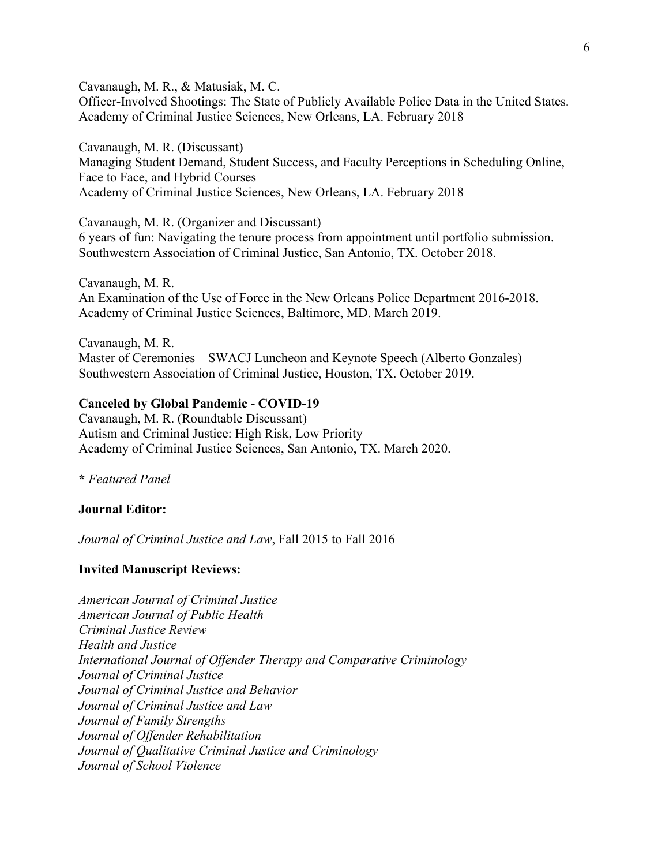Cavanaugh, M. R., & Matusiak, M. C. Officer-Involved Shootings: The State of Publicly Available Police Data in the United States. Academy of Criminal Justice Sciences, New Orleans, LA. February 2018

Cavanaugh, M. R. (Discussant) Managing Student Demand, Student Success, and Faculty Perceptions in Scheduling Online, Face to Face, and Hybrid Courses Academy of Criminal Justice Sciences, New Orleans, LA. February 2018

Cavanaugh, M. R. (Organizer and Discussant) 6 years of fun: Navigating the tenure process from appointment until portfolio submission. Southwestern Association of Criminal Justice, San Antonio, TX. October 2018.

Cavanaugh, M. R. An Examination of the Use of Force in the New Orleans Police Department 2016-2018. Academy of Criminal Justice Sciences, Baltimore, MD. March 2019.

Cavanaugh, M. R. Master of Ceremonies – SWACJ Luncheon and Keynote Speech (Alberto Gonzales) Southwestern Association of Criminal Justice, Houston, TX. October 2019.

#### **Canceled by Global Pandemic - COVID-19**

Cavanaugh, M. R. (Roundtable Discussant) Autism and Criminal Justice: High Risk, Low Priority Academy of Criminal Justice Sciences, San Antonio, TX. March 2020.

**\*** *Featured Panel*

#### **Journal Editor:**

*Journal of Criminal Justice and Law*, Fall 2015 to Fall 2016

#### **Invited Manuscript Reviews:**

*American Journal of Criminal Justice American Journal of Public Health Criminal Justice Review Health and Justice International Journal of Offender Therapy and Comparative Criminology Journal of Criminal Justice Journal of Criminal Justice and Behavior Journal of Criminal Justice and Law Journal of Family Strengths Journal of Offender Rehabilitation Journal of Qualitative Criminal Justice and Criminology Journal of School Violence*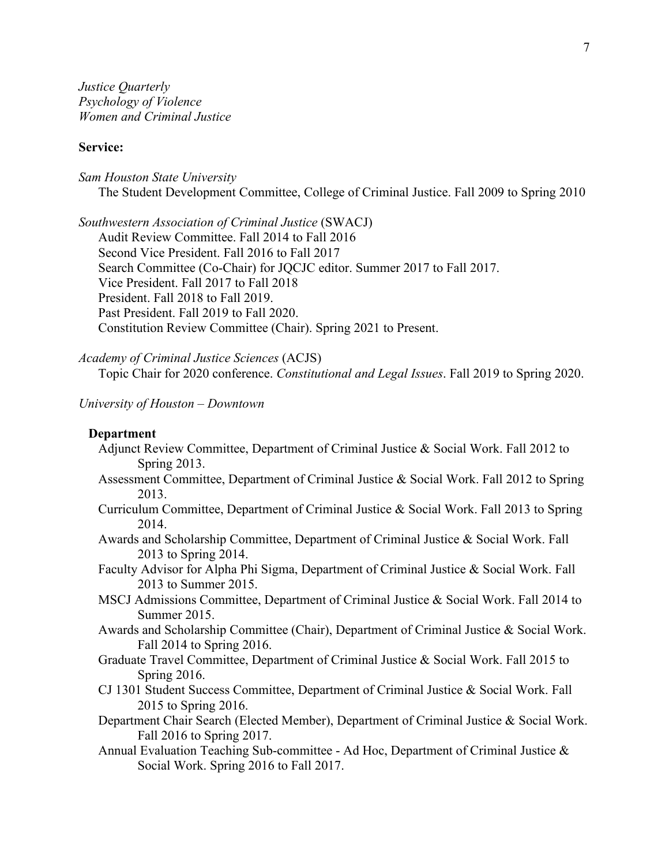*Justice Quarterly Psychology of Violence Women and Criminal Justice*

## **Service:**

*Sam Houston State University* The Student Development Committee, College of Criminal Justice. Fall 2009 to Spring 2010

*Southwestern Association of Criminal Justice* (SWACJ) Audit Review Committee. Fall 2014 to Fall 2016 Second Vice President. Fall 2016 to Fall 2017 Search Committee (Co-Chair) for JQCJC editor. Summer 2017 to Fall 2017. Vice President. Fall 2017 to Fall 2018 President. Fall 2018 to Fall 2019. Past President. Fall 2019 to Fall 2020. Constitution Review Committee (Chair). Spring 2021 to Present.

*Academy of Criminal Justice Sciences* (ACJS) Topic Chair for 2020 conference. *Constitutional and Legal Issues*. Fall 2019 to Spring 2020.

#### *University of Houston – Downtown*

## **Department**

- Adjunct Review Committee, Department of Criminal Justice & Social Work. Fall 2012 to Spring 2013.
- Assessment Committee, Department of Criminal Justice & Social Work. Fall 2012 to Spring 2013.
- Curriculum Committee, Department of Criminal Justice & Social Work. Fall 2013 to Spring 2014.
- Awards and Scholarship Committee, Department of Criminal Justice & Social Work. Fall 2013 to Spring 2014.
- Faculty Advisor for Alpha Phi Sigma, Department of Criminal Justice & Social Work. Fall 2013 to Summer 2015.
- MSCJ Admissions Committee, Department of Criminal Justice & Social Work. Fall 2014 to Summer 2015.
- Awards and Scholarship Committee (Chair), Department of Criminal Justice & Social Work. Fall 2014 to Spring 2016.
- Graduate Travel Committee, Department of Criminal Justice & Social Work. Fall 2015 to Spring 2016.
- CJ 1301 Student Success Committee, Department of Criminal Justice & Social Work. Fall 2015 to Spring 2016.
- Department Chair Search (Elected Member), Department of Criminal Justice & Social Work. Fall 2016 to Spring 2017.
- Annual Evaluation Teaching Sub-committee Ad Hoc, Department of Criminal Justice & Social Work. Spring 2016 to Fall 2017.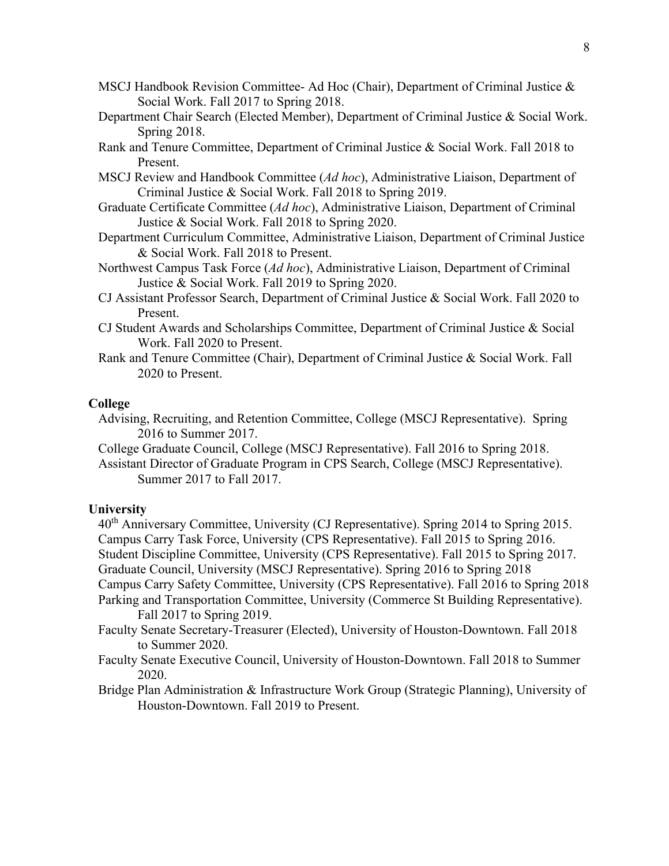- MSCJ Handbook Revision Committee- Ad Hoc (Chair), Department of Criminal Justice  $\&$ Social Work. Fall 2017 to Spring 2018.
- Department Chair Search (Elected Member), Department of Criminal Justice & Social Work. Spring 2018.
- Rank and Tenure Committee, Department of Criminal Justice & Social Work. Fall 2018 to Present.
- MSCJ Review and Handbook Committee (*Ad hoc*), Administrative Liaison, Department of Criminal Justice & Social Work. Fall 2018 to Spring 2019.
- Graduate Certificate Committee (*Ad hoc*), Administrative Liaison, Department of Criminal Justice & Social Work. Fall 2018 to Spring 2020.
- Department Curriculum Committee, Administrative Liaison, Department of Criminal Justice & Social Work. Fall 2018 to Present.
- Northwest Campus Task Force (*Ad hoc*), Administrative Liaison, Department of Criminal Justice & Social Work. Fall 2019 to Spring 2020.
- CJ Assistant Professor Search, Department of Criminal Justice & Social Work. Fall 2020 to Present.
- CJ Student Awards and Scholarships Committee, Department of Criminal Justice & Social Work. Fall 2020 to Present.
- Rank and Tenure Committee (Chair), Department of Criminal Justice & Social Work. Fall 2020 to Present.

## **College**

- Advising, Recruiting, and Retention Committee, College (MSCJ Representative). Spring 2016 to Summer 2017.
- College Graduate Council, College (MSCJ Representative). Fall 2016 to Spring 2018.

Assistant Director of Graduate Program in CPS Search, College (MSCJ Representative). Summer 2017 to Fall 2017.

#### **University**

40th Anniversary Committee, University (CJ Representative). Spring 2014 to Spring 2015. Campus Carry Task Force, University (CPS Representative). Fall 2015 to Spring 2016. Student Discipline Committee, University (CPS Representative). Fall 2015 to Spring 2017. Graduate Council, University (MSCJ Representative). Spring 2016 to Spring 2018 Campus Carry Safety Committee, University (CPS Representative). Fall 2016 to Spring 2018 Parking and Transportation Committee, University (Commerce St Building Representative).

Fall 2017 to Spring 2019.

- Faculty Senate Secretary-Treasurer (Elected), University of Houston-Downtown. Fall 2018 to Summer 2020.
- Faculty Senate Executive Council, University of Houston-Downtown. Fall 2018 to Summer 2020.
- Bridge Plan Administration & Infrastructure Work Group (Strategic Planning), University of Houston-Downtown. Fall 2019 to Present.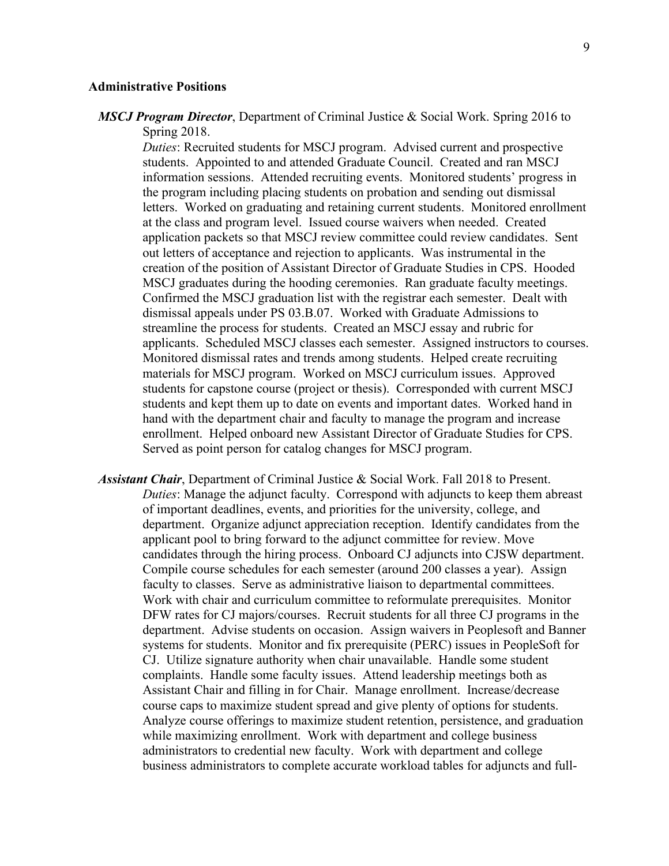#### **Administrative Positions**

*MSCJ Program Director*, Department of Criminal Justice & Social Work. Spring 2016 to Spring 2018.

*Duties*: Recruited students for MSCJ program. Advised current and prospective students. Appointed to and attended Graduate Council. Created and ran MSCJ information sessions. Attended recruiting events. Monitored students' progress in the program including placing students on probation and sending out dismissal letters. Worked on graduating and retaining current students. Monitored enrollment at the class and program level. Issued course waivers when needed. Created application packets so that MSCJ review committee could review candidates. Sent out letters of acceptance and rejection to applicants. Was instrumental in the creation of the position of Assistant Director of Graduate Studies in CPS. Hooded MSCJ graduates during the hooding ceremonies. Ran graduate faculty meetings. Confirmed the MSCJ graduation list with the registrar each semester. Dealt with dismissal appeals under PS 03.B.07. Worked with Graduate Admissions to streamline the process for students. Created an MSCJ essay and rubric for applicants. Scheduled MSCJ classes each semester. Assigned instructors to courses. Monitored dismissal rates and trends among students. Helped create recruiting materials for MSCJ program. Worked on MSCJ curriculum issues. Approved students for capstone course (project or thesis). Corresponded with current MSCJ students and kept them up to date on events and important dates. Worked hand in hand with the department chair and faculty to manage the program and increase enrollment. Helped onboard new Assistant Director of Graduate Studies for CPS. Served as point person for catalog changes for MSCJ program.

*Assistant Chair*, Department of Criminal Justice & Social Work. Fall 2018 to Present. *Duties*: Manage the adjunct faculty. Correspond with adjuncts to keep them abreast of important deadlines, events, and priorities for the university, college, and department. Organize adjunct appreciation reception. Identify candidates from the applicant pool to bring forward to the adjunct committee for review. Move candidates through the hiring process. Onboard CJ adjuncts into CJSW department. Compile course schedules for each semester (around 200 classes a year). Assign faculty to classes. Serve as administrative liaison to departmental committees. Work with chair and curriculum committee to reformulate prerequisites. Monitor DFW rates for CJ majors/courses. Recruit students for all three CJ programs in the department. Advise students on occasion. Assign waivers in Peoplesoft and Banner systems for students. Monitor and fix prerequisite (PERC) issues in PeopleSoft for CJ. Utilize signature authority when chair unavailable. Handle some student complaints. Handle some faculty issues. Attend leadership meetings both as Assistant Chair and filling in for Chair. Manage enrollment. Increase/decrease course caps to maximize student spread and give plenty of options for students. Analyze course offerings to maximize student retention, persistence, and graduation while maximizing enrollment. Work with department and college business administrators to credential new faculty. Work with department and college business administrators to complete accurate workload tables for adjuncts and full-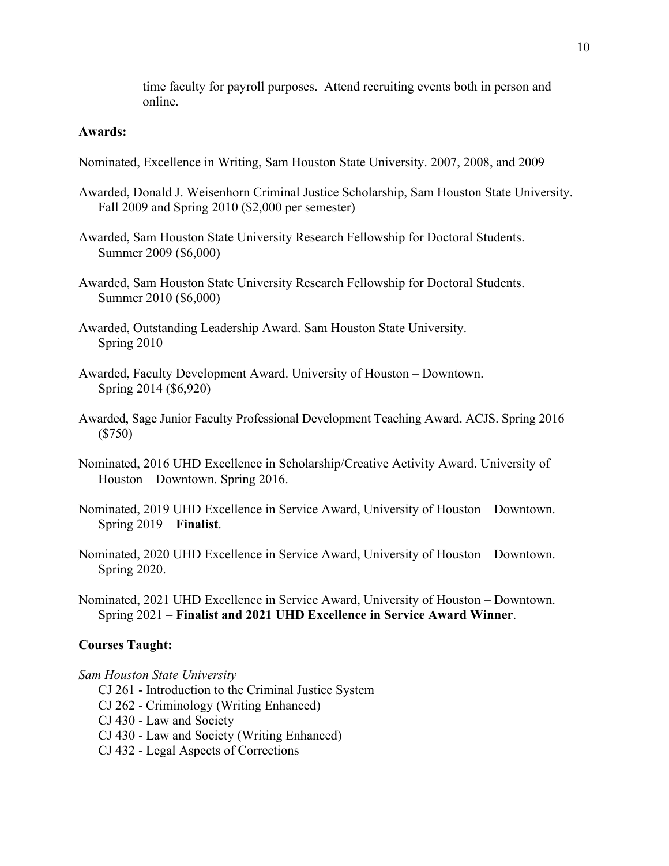time faculty for payroll purposes. Attend recruiting events both in person and online.

## **Awards:**

- Nominated, Excellence in Writing, Sam Houston State University. 2007, 2008, and 2009
- Awarded, Donald J. Weisenhorn Criminal Justice Scholarship, Sam Houston State University. Fall 2009 and Spring 2010 (\$2,000 per semester)
- Awarded, Sam Houston State University Research Fellowship for Doctoral Students. Summer 2009 (\$6,000)
- Awarded, Sam Houston State University Research Fellowship for Doctoral Students. Summer 2010 (\$6,000)
- Awarded, Outstanding Leadership Award. Sam Houston State University. Spring 2010
- Awarded, Faculty Development Award. University of Houston Downtown. Spring 2014 (\$6,920)
- Awarded, Sage Junior Faculty Professional Development Teaching Award. ACJS. Spring 2016 (\$750)
- Nominated, 2016 UHD Excellence in Scholarship/Creative Activity Award. University of Houston – Downtown. Spring 2016.
- Nominated, 2019 UHD Excellence in Service Award, University of Houston Downtown. Spring 2019 – **Finalist**.
- Nominated, 2020 UHD Excellence in Service Award, University of Houston Downtown. Spring 2020.
- Nominated, 2021 UHD Excellence in Service Award, University of Houston Downtown. Spring 2021 – **Finalist and 2021 UHD Excellence in Service Award Winner**.

### **Courses Taught:**

#### *Sam Houston State University*

- CJ 261 Introduction to the Criminal Justice System
- CJ 262 Criminology (Writing Enhanced)
- CJ 430 Law and Society
- CJ 430 Law and Society (Writing Enhanced)
- CJ 432 Legal Aspects of Corrections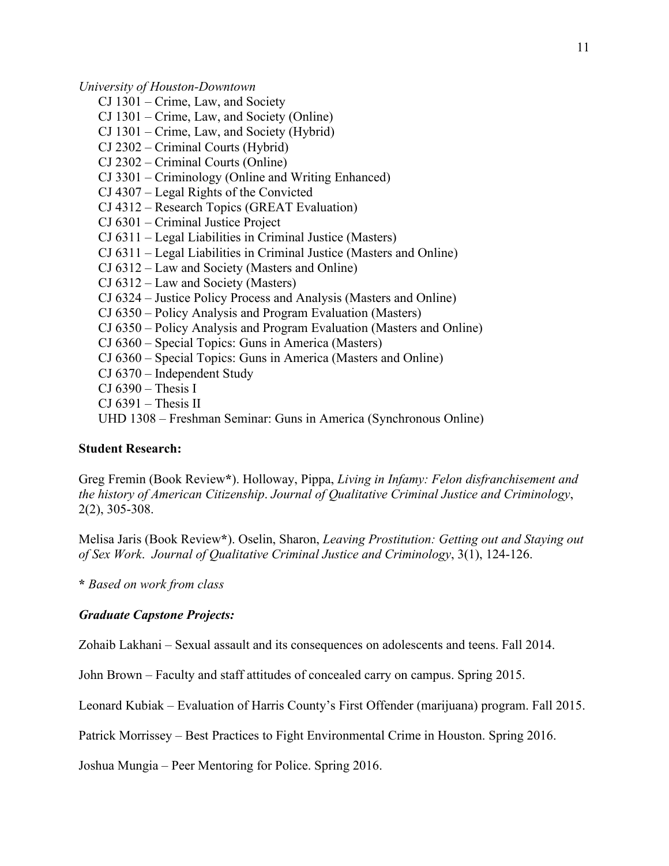*University of Houston-Downtown*

- CJ 1301 Crime, Law, and Society
- CJ 1301 Crime, Law, and Society (Online)
- CJ 1301 Crime, Law, and Society (Hybrid)
- CJ 2302 Criminal Courts (Hybrid)
- CJ 2302 Criminal Courts (Online)
- CJ 3301 Criminology (Online and Writing Enhanced)
- CJ 4307 Legal Rights of the Convicted
- CJ 4312 Research Topics (GREAT Evaluation)
- CJ 6301 Criminal Justice Project
- CJ 6311 Legal Liabilities in Criminal Justice (Masters)
- CJ 6311 Legal Liabilities in Criminal Justice (Masters and Online)
- CJ 6312 Law and Society (Masters and Online)
- CJ 6312 Law and Society (Masters)
- CJ 6324 Justice Policy Process and Analysis (Masters and Online)
- CJ 6350 Policy Analysis and Program Evaluation (Masters)
- CJ 6350 Policy Analysis and Program Evaluation (Masters and Online)
- CJ 6360 Special Topics: Guns in America (Masters)
- CJ 6360 Special Topics: Guns in America (Masters and Online)
- CJ 6370 Independent Study
- $CI 6390 Thesis I$
- $CI 6391 Thesis II$
- UHD 1308 Freshman Seminar: Guns in America (Synchronous Online)

## **Student Research:**

Greg Fremin (Book Review**\***). Holloway, Pippa, *Living in Infamy: Felon disfranchisement and the history of American Citizenship*. *Journal of Qualitative Criminal Justice and Criminology*, 2(2), 305-308.

Melisa Jaris (Book Review**\***). Oselin, Sharon, *Leaving Prostitution: Getting out and Staying out of Sex Work*. *Journal of Qualitative Criminal Justice and Criminology*, 3(1), 124-126.

**\*** *Based on work from class*

#### *Graduate Capstone Projects:*

Zohaib Lakhani – Sexual assault and its consequences on adolescents and teens. Fall 2014.

John Brown – Faculty and staff attitudes of concealed carry on campus. Spring 2015.

Leonard Kubiak – Evaluation of Harris County's First Offender (marijuana) program. Fall 2015.

Patrick Morrissey – Best Practices to Fight Environmental Crime in Houston. Spring 2016.

Joshua Mungia – Peer Mentoring for Police. Spring 2016.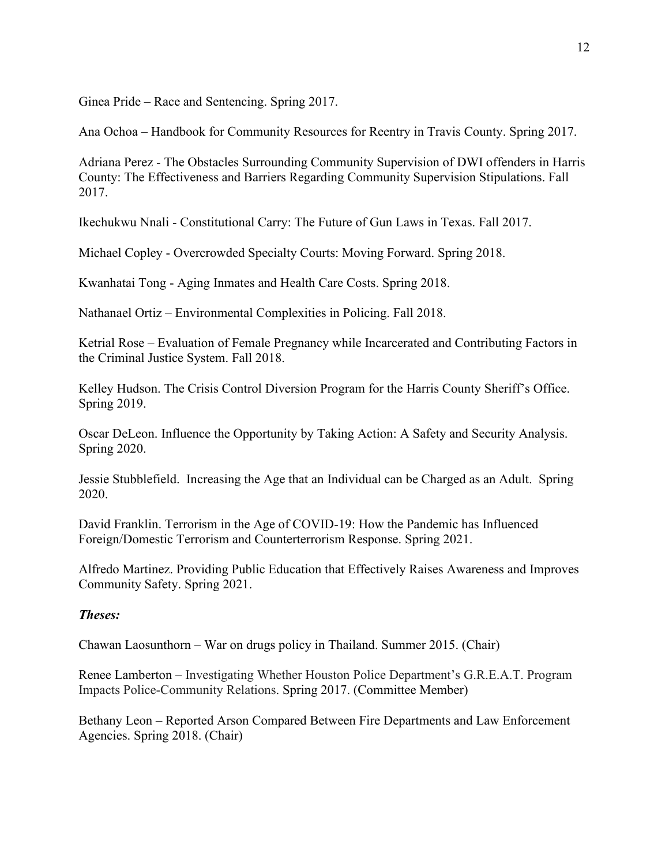Ginea Pride – Race and Sentencing. Spring 2017.

Ana Ochoa – Handbook for Community Resources for Reentry in Travis County. Spring 2017.

Adriana Perez - The Obstacles Surrounding Community Supervision of DWI offenders in Harris County: The Effectiveness and Barriers Regarding Community Supervision Stipulations. Fall 2017.

Ikechukwu Nnali - Constitutional Carry: The Future of Gun Laws in Texas. Fall 2017.

Michael Copley - Overcrowded Specialty Courts: Moving Forward. Spring 2018.

Kwanhatai Tong - Aging Inmates and Health Care Costs. Spring 2018.

Nathanael Ortiz – Environmental Complexities in Policing. Fall 2018.

Ketrial Rose – Evaluation of Female Pregnancy while Incarcerated and Contributing Factors in the Criminal Justice System. Fall 2018.

Kelley Hudson. The Crisis Control Diversion Program for the Harris County Sheriff's Office. Spring 2019.

Oscar DeLeon. Influence the Opportunity by Taking Action: A Safety and Security Analysis. Spring 2020.

Jessie Stubblefield. Increasing the Age that an Individual can be Charged as an Adult. Spring 2020.

David Franklin. Terrorism in the Age of COVID-19: How the Pandemic has Influenced Foreign/Domestic Terrorism and Counterterrorism Response. Spring 2021.

Alfredo Martinez. Providing Public Education that Effectively Raises Awareness and Improves Community Safety. Spring 2021.

# *Theses:*

Chawan Laosunthorn – War on drugs policy in Thailand. Summer 2015. (Chair)

Renee Lamberton – Investigating Whether Houston Police Department's G.R.E.A.T. Program Impacts Police-Community Relations. Spring 2017. (Committee Member)

Bethany Leon – Reported Arson Compared Between Fire Departments and Law Enforcement Agencies. Spring 2018. (Chair)